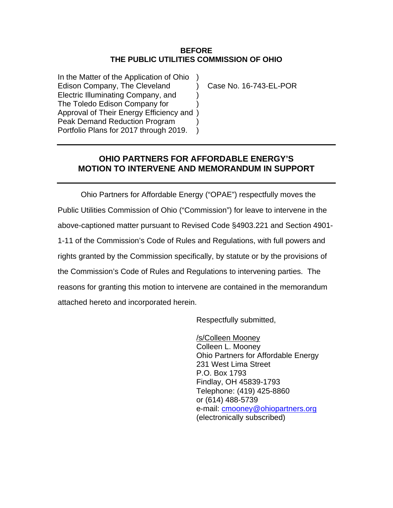### **BEFORE THE PUBLIC UTILITIES COMMISSION OF OHIO**

In the Matter of the Application of Ohio Edison Company, The Cleveland (a) Case No. 16-743-EL-POR Electric Illuminating Company, and ) The Toledo Edison Company for ) Approval of Their Energy Efficiency and ) Peak Demand Reduction Program Portfolio Plans for 2017 through 2019. )

## **OHIO PARTNERS FOR AFFORDABLE ENERGY'S MOTION TO INTERVENE AND MEMORANDUM IN SUPPORT**

Ohio Partners for Affordable Energy ("OPAE") respectfully moves the Public Utilities Commission of Ohio ("Commission") for leave to intervene in the above-captioned matter pursuant to Revised Code §4903.221 and Section 4901- 1-11 of the Commission's Code of Rules and Regulations, with full powers and rights granted by the Commission specifically, by statute or by the provisions of the Commission's Code of Rules and Regulations to intervening parties. The reasons for granting this motion to intervene are contained in the memorandum attached hereto and incorporated herein.

Respectfully submitted,

/s/Colleen Mooney Colleen L. Mooney Ohio Partners for Affordable Energy 231 West Lima Street P.O. Box 1793 Findlay, OH 45839-1793 Telephone: (419) 425-8860 or (614) 488-5739 e-mail: [cmooney@ohiopartners.org](mailto:cmooney@ohiopartners.org) (electronically subscribed)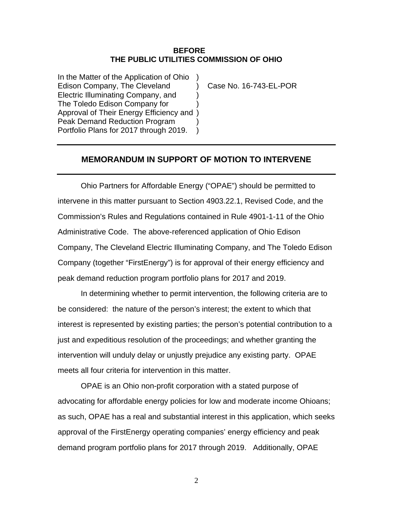#### **BEFORE THE PUBLIC UTILITIES COMMISSION OF OHIO**

In the Matter of the Application of Ohio ) Edison Company, The Cleveland (a) Case No. 16-743-EL-POR Electric Illuminating Company, and ) The Toledo Edison Company for ) Approval of Their Energy Efficiency and ) Peak Demand Reduction Program Portfolio Plans for 2017 through 2019.

### **MEMORANDUM IN SUPPORT OF MOTION TO INTERVENE**

Ohio Partners for Affordable Energy ("OPAE") should be permitted to intervene in this matter pursuant to Section 4903.22.1, Revised Code, and the Commission's Rules and Regulations contained in Rule 4901-1-11 of the Ohio Administrative Code. The above-referenced application of Ohio Edison Company, The Cleveland Electric Illuminating Company, and The Toledo Edison Company (together "FirstEnergy") is for approval of their energy efficiency and peak demand reduction program portfolio plans for 2017 and 2019.

In determining whether to permit intervention, the following criteria are to be considered: the nature of the person's interest; the extent to which that interest is represented by existing parties; the person's potential contribution to a just and expeditious resolution of the proceedings; and whether granting the intervention will unduly delay or unjustly prejudice any existing party. OPAE meets all four criteria for intervention in this matter.

OPAE is an Ohio non-profit corporation with a stated purpose of advocating for affordable energy policies for low and moderate income Ohioans; as such, OPAE has a real and substantial interest in this application, which seeks approval of the FirstEnergy operating companies' energy efficiency and peak demand program portfolio plans for 2017 through 2019. Additionally, OPAE

2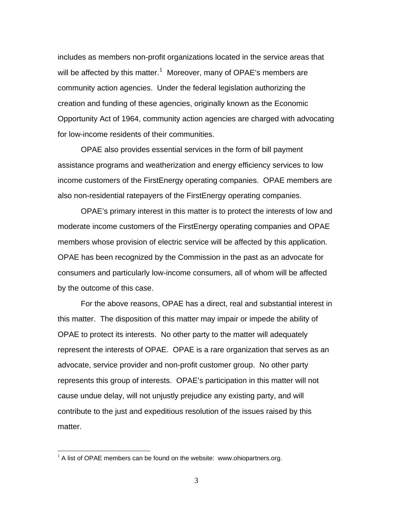includes as members non-profit organizations located in the service areas that will be affected by this matter.<sup>[1](#page-2-0)</sup> Moreover, many of OPAE's members are community action agencies. Under the federal legislation authorizing the creation and funding of these agencies, originally known as the Economic Opportunity Act of 1964, community action agencies are charged with advocating for low-income residents of their communities.

OPAE also provides essential services in the form of bill payment assistance programs and weatherization and energy efficiency services to low income customers of the FirstEnergy operating companies. OPAE members are also non-residential ratepayers of the FirstEnergy operating companies.

OPAE's primary interest in this matter is to protect the interests of low and moderate income customers of the FirstEnergy operating companies and OPAE members whose provision of electric service will be affected by this application. OPAE has been recognized by the Commission in the past as an advocate for consumers and particularly low-income consumers, all of whom will be affected by the outcome of this case.

For the above reasons, OPAE has a direct, real and substantial interest in this matter. The disposition of this matter may impair or impede the ability of OPAE to protect its interests. No other party to the matter will adequately represent the interests of OPAE. OPAE is a rare organization that serves as an advocate, service provider and non-profit customer group. No other party represents this group of interests. OPAE's participation in this matter will not cause undue delay, will not unjustly prejudice any existing party, and will contribute to the just and expeditious resolution of the issues raised by this matter.

 $\overline{a}$ 

<span id="page-2-0"></span> $1$  A list of OPAE members can be found on the website: www.ohiopartners.org.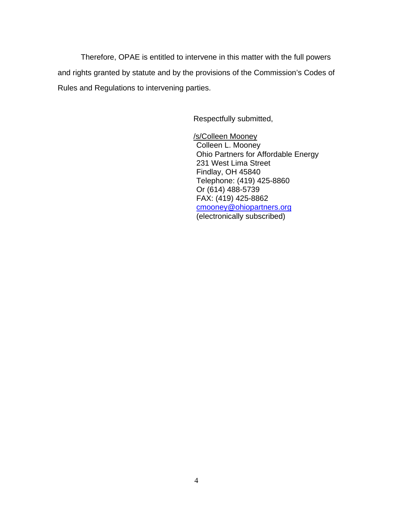Therefore, OPAE is entitled to intervene in this matter with the full powers and rights granted by statute and by the provisions of the Commission's Codes of Rules and Regulations to intervening parties.

Respectfully submitted,

/s/Colleen Mooney Colleen L. Mooney Ohio Partners for Affordable Energy 231 West Lima Street Findlay, OH 45840 Telephone: (419) 425-8860 Or (614) 488-5739 FAX: (419) 425-8862 [cmooney@ohiopartners.org](mailto:cmooney@ohiopartners.org) (electronically subscribed)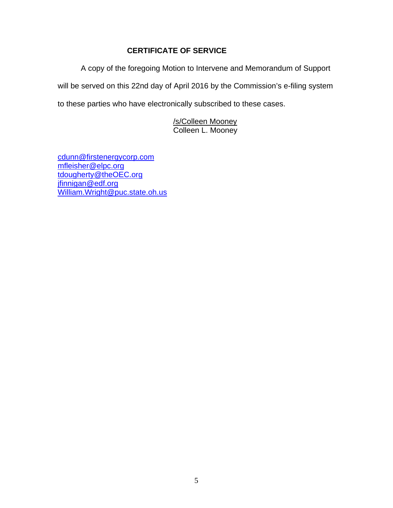# **CERTIFICATE OF SERVICE**

A copy of the foregoing Motion to Intervene and Memorandum of Support will be served on this 22nd day of April 2016 by the Commission's e-filing system to these parties who have electronically subscribed to these cases.

> /s/Colleen Mooney Colleen L. Mooney

[cdunn@firstenergycorp.com](mailto:cdunn@firstenergycorp.com) [mfleisher@elpc.org](mailto:mfleisher@elpc.org) [tdougherty@theOEC.org](mailto:tdougherty@theOEC.org) [jfinnigan@edf.org](mailto:jfinnigan@edf.org) [William.Wright@puc.state.oh.us](mailto:William.Wright@puc.state.oh.us)